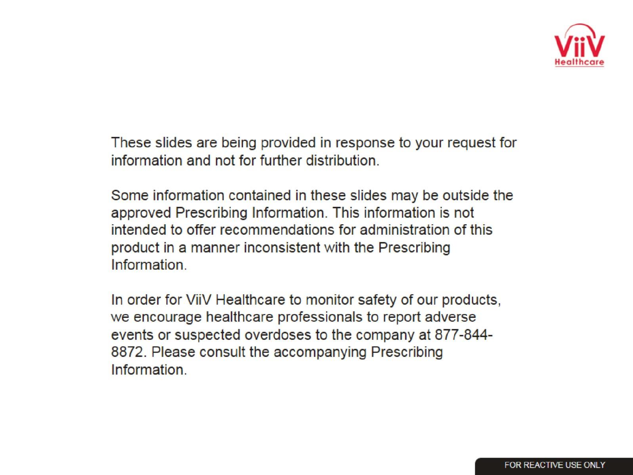

These slides are being provided in response to your request for information and not for further distribution.

Some information contained in these slides may be outside the approved Prescribing Information. This information is not intended to offer recommendations for administration of this product in a manner inconsistent with the Prescribing Information

In order for ViiV Healthcare to monitor safety of our products, we encourage healthcare professionals to report adverse events or suspected overdoses to the company at 877-844-8872. Please consult the accompanying Prescribing Information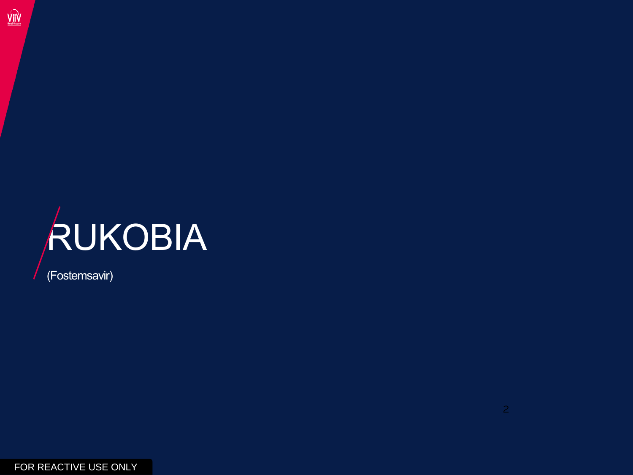

(Fostemsavir)

 $\widehat{\text{V}}$ ii $\widehat{\text{V}}$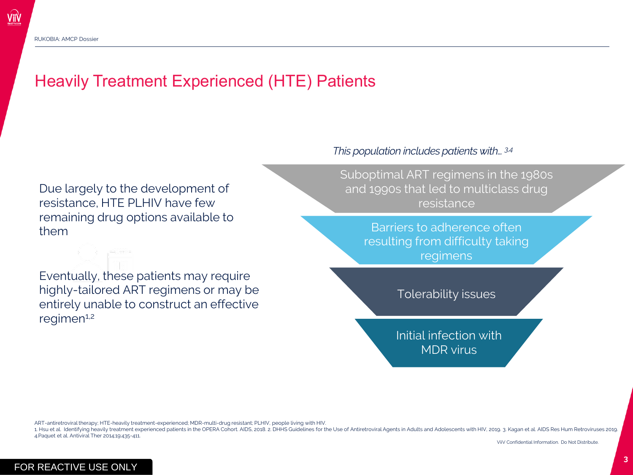# Heavily Treatment Experienced (HTE) Patients

Due largely to the development of resistance, HTE PLHIV have few remaining drug options available to them

Eventually, these patients may require highly-tailored ART regimens or may be entirely unable to construct an effective  $r$ egimen $1,2$ 

#### *This population includes patients with… 3,4*

Suboptimal ART regimens in the 1980s and 1990s that led to multiclass drug resistance

> Barriers to adherence often resulting from difficulty taking regimens

> > Tolerability issues

Initial infection with MDR virus

ART-antiretroviral therapy; HTE-heavily treatment-experienced; MDR-multi-drug resistant; PLHIV, people living with HIV.

1. Hsu et al. Identifying heavily treatment experienced patients in the OPERA Cohort. AIDS, 2018. 2. DHHS Guidelines for the Use of Antiretroviral Agents in Adults and Adolescents with HIV, 2019. 3. Kagan et al. AIDS Res H 4.Paquet et al. Antiviral Ther 2014;19:435-411.

ViiV Confidential Information. Do Not Distribute.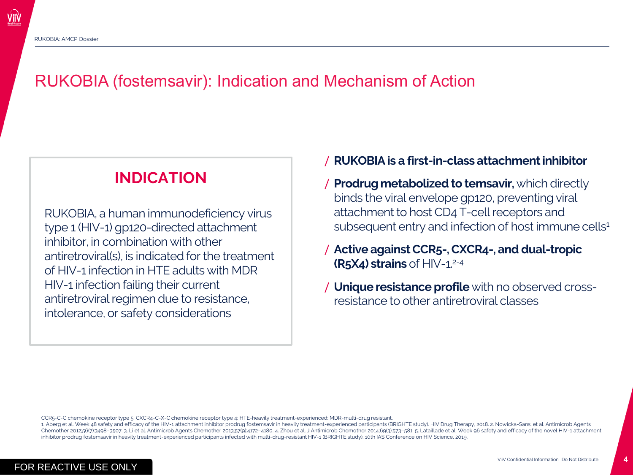Vii\

## RUKOBIA (fostemsavir): Indication and Mechanism of Action

### **INDICATION**

RUKOBIA, a human immunodeficiency virus type 1 (HIV-1) gp120-directed attachment inhibitor, in combination with other antiretroviral(s), is indicated for the treatment of HIV-1 infection in HTE adults with MDR HIV-1 infection failing their current antiretroviral regimen due to resistance, intolerance, or safety considerations

#### / **RUKOBIA is a first-in-class attachment inhibitor**

- / **Prodrug metabolized to temsavir,** which directly binds the viral envelope gp120, preventing viral attachment to host CD4 T-cell receptors and subsequent entry and infection of host immune cells<sup>1</sup>
- / **Active against CCR5-, CXCR4-, and dual-tropic (R5X4) strains** of HIV-1.2-4
- / **Unique resistance profile** with no observed crossresistance to other antiretroviral classes

CCR5-C-C chemokine receptor type 5; CXCR4-C-X-C chemokine receptor type 4; HTE-heavily treatment-experienced; MDR-multi-drug resistant.

1. Aberg et al. Week 48 safety and efficacy of the HIV-1 attachment inhibitor prodrug fostemsavir in heavily treatment-experienced participants (BRIGHTE study). HIV Drug Therapy, 2018. 2. Nowicka-Sans, et al. Antimicrob Ag Chemother 2012;56(7):3498-3507.3. Li et al. Antimicrob Agents Chemother 2013;57(9):4172-4180. 4. Zhou et al. J Antimicrob Chemother 2014;69(3):573-581. 5. Lataillade et al. Week 96 safety and efficacy of the novel HIV-1 at inhibitor prodrug fostemsavir in heavily treatment-experienced participants infected with multi-drug-resistant HIV-1 (BRIGHTE study). 10th IAS Conference on HIV Science, 2019.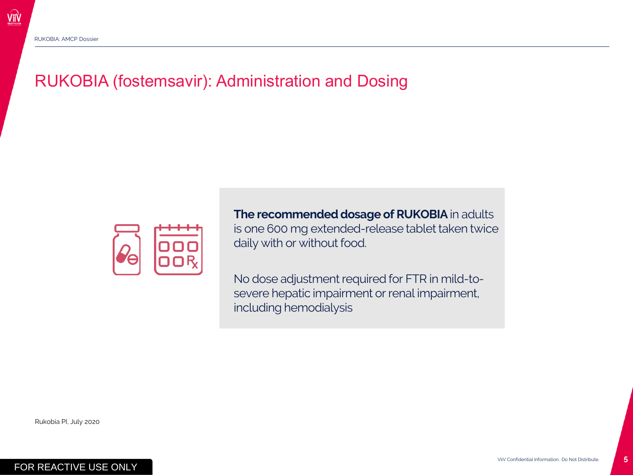# RUKOBIA (fostemsavir): Administration and Dosing



**The recommended dosage of RUKOBIA** in adults is one 600 mg extended-release tablet taken twice daily with or without food.

No dose adjustment required for FTR in mild-tosevere hepatic impairment or renal impairment, including hemodialysis

Rukobia PI, July 2020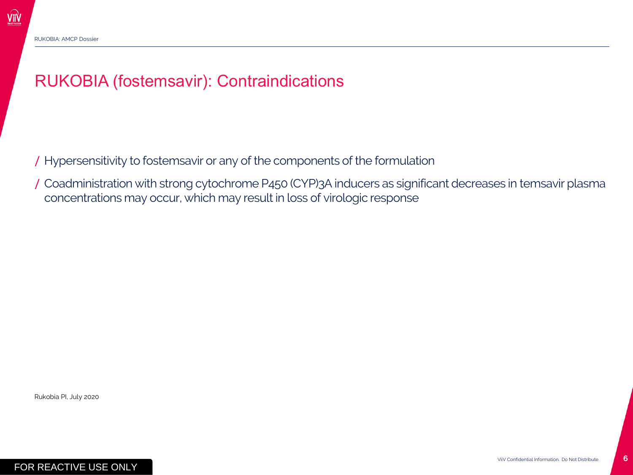# RUKOBIA (fostemsavir): Contraindications

/ Hypersensitivity to fostemsavir or any of the components of the formulation

/ Coadministration with strong cytochrome P450 (CYP)3A inducers as significant decreases in temsavir plasma concentrations may occur, which may result in loss of virologic response

Rukobia PI, July 2020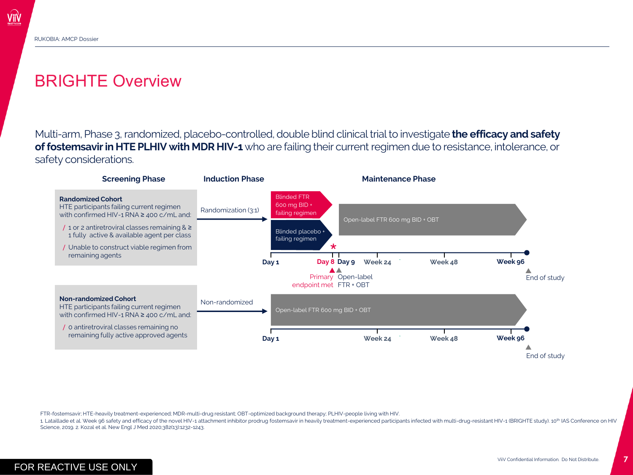Viiv

### BRIGHTE Overview

Multi-arm, Phase 3, randomized, placebo-controlled, double blind clinical trial to investigate **the efficacy and safety of fostemsavir in HTE PLHIV with MDR HIV-1** who are failing their current regimen due to resistance, intolerance, or safety considerations.



FTR-fostemsavir; HTE-heavily treatment-experienced; MDR-multi-drug resistant; OBT-optimized background therapy; PLHIV-people living with HIV.

1. Lataillade et al. Week 96 safety and efficacy of the novel HIV-1 attachment inhibitor prodrug fostemsavir in heavily treatment-experienced participants infected with multi-drug-resistant HIV-1 (BRIGHTE study). 10<sup>th</sup> IA Science, 2019. 2. Kozal et al. New Engl J Med 2020;382(13):1232-1243.

**7**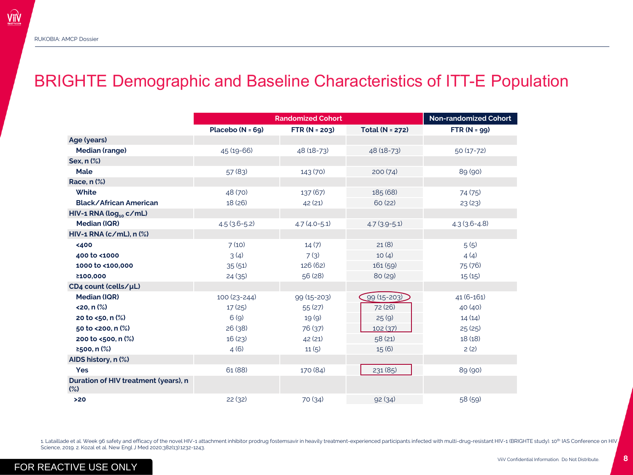$\widehat{\text{V}}$ ii $\widehat{\text{V}}$ 

### BRIGHTE Demographic and Baseline Characteristics of ITT-E Population

|                                                | <b>Randomized Cohort</b> |                   |                 | <b>Non-randomized Cohort</b> |
|------------------------------------------------|--------------------------|-------------------|-----------------|------------------------------|
|                                                | Placebo $(N = 69)$       | $FTR (N = 203)$   | Total (N = 272) | $FTR (N = 99)$               |
| Age (years)                                    |                          |                   |                 |                              |
| Median (range)                                 | 45 (19-66)               | 48 (18-73)        | 48 (18-73)      | $50(17-72)$                  |
| Sex, n (%)                                     |                          |                   |                 |                              |
| Male                                           | 57(83)                   | 143 (70)          | 200(74)         | 89 (90)                      |
| Race, n (%)                                    |                          |                   |                 |                              |
| <b>White</b>                                   | 48 (70)                  | 137(67)           | 185 (68)        | 74 (75)                      |
| Black/African American                         | 18(26)                   | 42(21)            | 60(22)          | 23(23)                       |
| HIV-1 RNA ( $log_{10} c/ml$ )                  |                          |                   |                 |                              |
| <b>Median (IQR)</b>                            | $4.5(3.6-5.2)$           | $4.7(4.0-5.1)$    | $4.7(3.9-5.1)$  | $4.3(3.6-4.8)$               |
| $HIV-1 RNA (c/ml), n$ (%)                      |                          |                   |                 |                              |
| <400                                           | 7(10)                    | 14(7)             | 21(8)           | 5(5)                         |
| 400 to <1000                                   | 3(4)                     | 7(3)              | 10(4)           | 4(4)                         |
| 1000 to <100,000                               | 35(51)                   | 126 (62)          | 161(59)         | 75 (76)                      |
| ≥100,000                                       | 24(35)                   | 56(28)            | 80(29)          | 15(15)                       |
| CD4 count (cells/µL)                           |                          |                   |                 |                              |
| <b>Median (IQR)</b>                            | 100 (23-244)             | $99(15 - 203)$    | $99(15 - 203)$  | 41 (6-161)                   |
| $<$ 20, n $\frac{8}{2}$                        | 17(25)                   | 55 (27)           | 72 (26)         | 40 (40)                      |
| 20 to <50, n (%)                               | 6(9)                     | 19 <sub>(9)</sub> | 25(9)           | 14(14)                       |
| 50 to <200, n (%)                              | 26(38)                   | 76 (37)           | 102(37)         | 25(25)                       |
| 200 to <500, n (%)                             | 16(23)                   | 42(21)            | 58(21)          | 18(18)                       |
| ≥500, n $(%)$                                  | 4(6)                     | 11(5)             | 15(6)           | 2(2)                         |
| AIDS history, n (%)                            |                          |                   |                 |                              |
| Yes                                            | 61 (88)                  | 170 (84)          | 231 (85)        | 89 (90)                      |
| Duration of HIV treatment (years), n<br>$(\%)$ |                          |                   |                 |                              |
| >20                                            | 22(32)                   | 70 (34)           | 92(34)          | 58 (59)                      |

1. Lataillade et al. Week 96 safety and efficacy of the novel HIV-1 attachment inhibitor prodrug fostemsavir in heavily treatment-experienced participants infected with multi-drug-resistant HIV-1 (BRIGHTE study). 10<sup>th</sup> IA Science, 2019. 2. Kozal et al. New Engl J Med 2020;382(13):1232-1243.

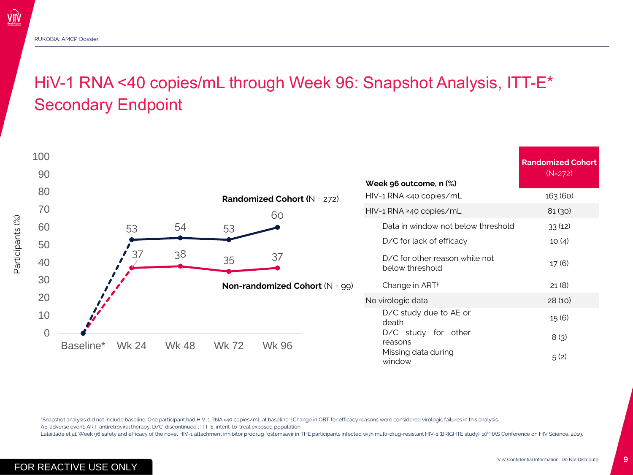ViiV

# HiV-1 RNA <40 copies/mL through Week 96: Snapshot Analysis, ITT-E\* Secondary Endpoint



\*Snapshot analysis did not include baseline. One participant had HIV-1 RNA <40 copies/mL at baseline. †Change in OBT for efficacy reasons were considered virologic failures in this analysis.

AE-adverse event; ART-antiretroviral therapy; D/C-discontinued ; ITT-E, intent-to-treat exposed population.

Lataillade et al. Week 96 safety and efficacy of the novel HIV-1 attachment inhibitor prodrug fostemsavir in THE participants infected with multi-drug-resistant HIV-1 (BRIGHTE study). 10<sup>th</sup> IAS Conference on HIV Science,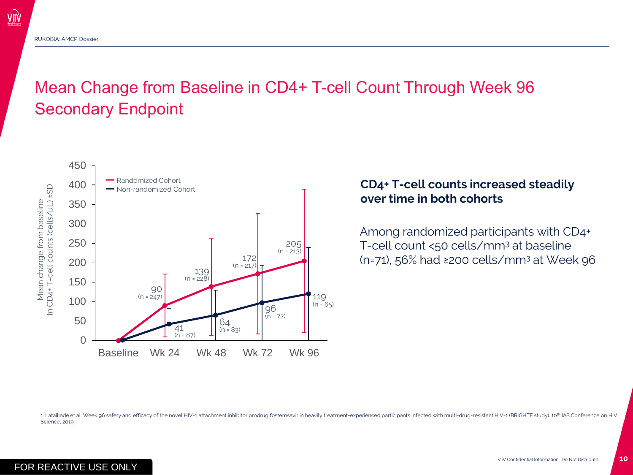$\widehat{\text{V}}$ ii $\widehat{\text{V}}$ 

# Mean Change from Baseline in CD4+ T-cell Count Through Week 96 Secondary Endpoint

![](_page_9_Figure_2.jpeg)

#### **CD4+ T-cell counts increased steadily over time in both cohorts**

Among randomized participants with CD4+ T-cell count <50 cells/mm<sup>3</sup> at baseline (n=71), 56% had ≥200 cells/mm<sup>3</sup> at Week 96

1. Lataillade et al. Week 96 safety and efficacy of the novel HIV-1 attachment inhibitor prodrug fostemsavir in heavily treatment-experienced participants infected with multi-drug-resistant HIV-1 (BRIGHTE study). 10<sup>th</sup> IA Science, 2019.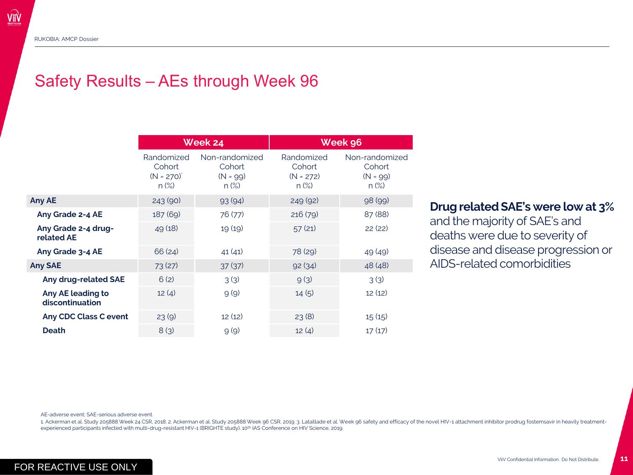### Safety Results – AEs through Week 96

|                                      | Week 24                                            |                                                   | Week 96                                        |                                                   |
|--------------------------------------|----------------------------------------------------|---------------------------------------------------|------------------------------------------------|---------------------------------------------------|
|                                      | Randomized<br>Cohort<br>$(N = 270)^{4}$<br>$n$ (%) | Non-randomized<br>Cohort<br>$(N = 99)$<br>$n$ (%) | Randomized<br>Cohort<br>$(N = 272)$<br>$n$ (%) | Non-randomized<br>Cohort<br>$(N = 99)$<br>$n$ (%) |
| Any AE                               | 243 (90)                                           | 93(94)                                            | 249 (92)                                       | 98 (99)                                           |
| Any Grade 2-4 AE                     | 187 (69)                                           | 76 (77)                                           | 216(79)                                        | 87 (88)                                           |
| Any Grade 2-4 drug-<br>related AE    | 49 (18)                                            | 19(19)                                            | 57(21)                                         | 22(22)                                            |
| Any Grade 3-4 AE                     | 66 (24)                                            | 41(41)                                            | 78 (29)                                        | 49(49)                                            |
| <b>Any SAE</b>                       | 73 (27)                                            | 37(37)                                            | 92(34)                                         | 48 (48)                                           |
| Any drug-related SAE                 | 6(2)                                               | 3(3)                                              | 9(3)                                           | 3(3)                                              |
| Any AE leading to<br>discontinuation | 12(4)                                              | 9(9)                                              | 14(5)                                          | 12(12)                                            |
| Any CDC Class C event                | 23(9)                                              | 12(12)                                            | 23(8)                                          | 15(15)                                            |
| <b>Death</b>                         | 8(3)                                               | 9(9)                                              | 12(4)                                          | 17(17)                                            |
|                                      |                                                    |                                                   |                                                |                                                   |

#### **Drug related SAE's were low at 3%**

and the majority of SAE's and deaths were due to severity of disease and disease progression or AIDS-related comorbidities

AE-adverse event; SAE-serious adverse event.

1. Ackerman et al. Study 205888 Week 24 CSR, 2018. 2. Ackerman et al. Study 205888 Week 96 CSR, 2019. 3. Lataillade et al. Week 96 safety and efficacy of the novel HIV-1 attachment inhibitor prodrug fostemsavir in heavily experienced participants infected with multi-drug-resistant HIV-1 (BRIGHTE study). 10<sup>th</sup> IAS Conference on HIV Science, 2019.